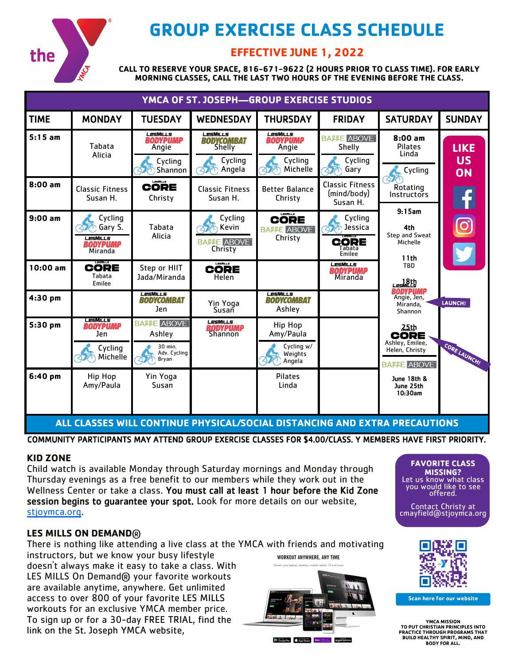

# **GROUP EXERCISE CLASS SCHEDULE**

# **EFFECTIVE JUNE 1, 2022**

**CALL TO RESERVE YOUR SPACE, 816-671-9622 (2 HOURS PRIOR TO CLASS TIME). FOR EARLY MORNING CLASSES, CALL THE LAST TWO HOURS OF THE EVENING BEFORE THE CLASS.**

| YMCA OF ST. JOSEPH-GROUP EXERCISE STUDIOS |                                                                  |                                                                              |                                                                    |                                                             |                                                             |                                                                                |                                |
|-------------------------------------------|------------------------------------------------------------------|------------------------------------------------------------------------------|--------------------------------------------------------------------|-------------------------------------------------------------|-------------------------------------------------------------|--------------------------------------------------------------------------------|--------------------------------|
| <b>TIME</b>                               | <b>MONDAY</b>                                                    | <b>TUESDAY</b>                                                               | <b>WEDNESDAY</b>                                                   | <b>THURSDAY</b>                                             | <b>FRIDAY</b>                                               | <b>SATURDAY</b>                                                                | <b>SUNDAY</b>                  |
| $5:15$ am                                 | Tabata<br>Alicia                                                 | LesMills<br><b>BODYPUMP</b><br>Angie<br>Cycling<br>Shannon                   | LesMills<br><b>BODYCOMBAT</b><br>Shelly<br>Cycling<br>Angela<br>47 | LesMills<br><b>BODYPUMP</b><br>Angie<br>Cycling<br>Michelle | <b>BALLE ABOVE</b><br>Shelly<br>Cycling<br>Gary             | $8:00$ am<br><b>Pilates</b><br>Linda<br>Cycling                                | <b>LIKE</b><br>US<br><b>ON</b> |
| $8:00$ am                                 | <b>Classic Fitness</b><br>Susan H.                               | LesMills<br><b>CORE</b><br>Christy                                           | <b>Classic Fitness</b><br>Susan H.                                 | <b>Better Balance</b><br>Christy                            | <b>Classic Fitness</b><br>(mind/body)<br>Susan H.           | $\Delta \mathcal{U}$<br>Rotating<br>Instructors<br>9:15am                      |                                |
| $9:00$ am                                 | Cycling<br>Gary S.<br>LesMills<br><b>BODYPUMP</b><br>Miranda     | Tabata<br>Alicia                                                             | Cycling<br>Kevin<br><b>BALLE ABOVE</b><br>Christy                  | LesMILLS<br><b>CORE</b><br><b>BALLE ABOVE</b><br>Christy    | Cycling<br>Jessica<br>27<br><b>CORE</b><br>Tabata<br>Emilee | 4th<br>Step and Sweat<br>Michelle<br>11th                                      |                                |
| $10:00$ am                                | CORE<br>Tabata<br>Emilee                                         | Step or HIIT<br>Jada/Miranda                                                 | <b>CORE</b><br>Helen                                               |                                                             | <b>LesMILLS</b><br><b>BODYPUMP</b><br>Miranda               | <b>TBD</b><br>Les Michel                                                       |                                |
| $4:30$ pm                                 |                                                                  | LesMills<br><b>BODYCOMBAT</b><br>Jen                                         | Yin Yoga<br>Susan                                                  | <b>LesMILLS</b><br><b>BODYCOMBAT</b><br>Ashley              |                                                             | <b>BODYPUMP</b><br>Angie, Jen,<br>Miranda.<br>Shannon                          | <b>LAUNCH!</b>                 |
| $5:30$ pm                                 | <b>LesMills</b><br><b>BODYPUMP</b><br>Jen<br>Cycling<br>Michelle | <b>BALLE ABOVE</b><br>Ashley<br>30 min.<br>Adv. Cycling<br>Bryan<br>$\Delta$ | LesMills<br><b>BODYPUMP</b><br>Shannon                             | Hip Hop<br>Amy/Paula<br>Cycling w/<br>Weights<br>Angela     |                                                             | <b>25th</b><br>CORE<br>Ashley, Emilee,<br>Helen, Christy<br><b>BAPPE ABOVE</b> | CORE LAUNCHI                   |
| $6:40~\text{pm}$                          | Hip Hop<br>Amy/Paula                                             | Yin Yoga<br>Susan                                                            |                                                                    | <b>Pilates</b><br>Linda                                     |                                                             | June 18th &<br>June 25th<br>10:30am                                            |                                |

**ALL CLASSES WILL CONTINUE PHYSICAL/SOCIAL DISTANCING AND EXTRA PRECAUTIONS**

COMMUNITY PARTICIPANTS MAY ATTEND GROUP EXERCISE CLASSES FOR \$4.00/CLASS. Y MEMBERS HAVE FIRST PRIORITY.

## **KID ZONE**

Child watch is available Monday through Saturday mornings and Monday through Thursday evenings as a free benefit to our members while they work out in the Wellness Center or take a class. You must call at least 1 hour before the Kid Zone session begins to guarantee your spot. Look for more details on our website, [stjoymca.org.](http://www.stjoymca.org) 

### **LES MILLS ON DEMAND**®

There is nothing like attending a live class at the YMCA with friends and motivating instructors, but we know your busy lifestyle WORKOUT ANYWHERE, ANY TIME doesn't always make it easy to take a class. With

LES MILLS On Demand® your favorite workouts are available anytime, anywhere. Get unlimited access to over 800 of your favorite LES MILLS workouts for an exclusive YMCA member price. To sign up or for a 30-day FREE TRIAL, find the link on the St. Joseph YMCA website,







**Scan here for our website**

**YMCA MISSION TO PUT CHRISTIAN PRINCIPLES INTO PRACTICE THROUGH PROGRAMS THAT BUILD HEALTHY SPIRIT, MIND, AND BODY FOR ALL.**